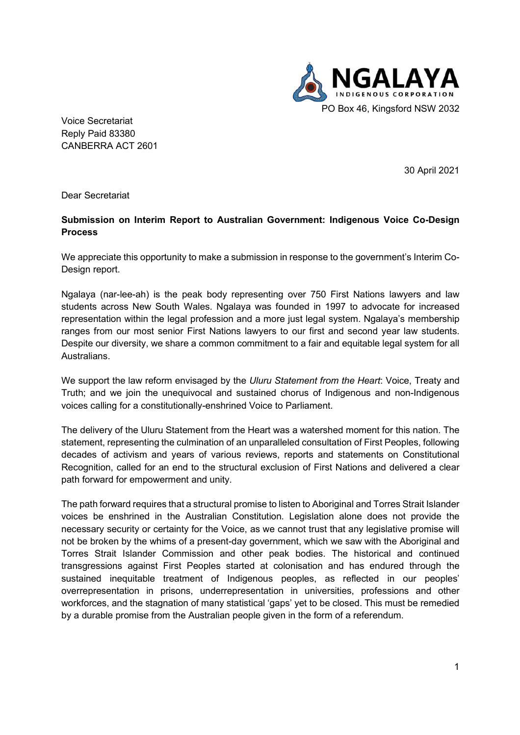

 CANBERRA ACT 2601 Voice Secretariat Reply Paid 83380

30 April 2021

Dear Secretariat

## **Submission on Interim Report to Australian Government: Indigenous Voice Co-Design Process**

 We appreciate this opportunity to make a submission in response to the government's Interim Co-Design report.

 Ngalaya (nar-lee-ah) is the peak body representing over 750 First Nations lawyers and law students across New South Wales. Ngalaya was founded in 1997 to advocate for increased representation within the legal profession and a more just legal system. Ngalaya's membership ranges from our most senior First Nations lawyers to our first and second year law students. Despite our diversity, we share a common commitment to a fair and equitable legal system for all Australians.

 We support the law reform envisaged by the *Uluru Statement from the Heart*: Voice, Treaty and Truth; and we join the unequivocal and sustained chorus of Indigenous and non-Indigenous voices calling for a constitutionally-enshrined Voice to Parliament.

 The delivery of the Uluru Statement from the Heart was a watershed moment for this nation. The statement, representing the culmination of an unparalleled consultation of First Peoples, following decades of activism and years of various reviews, reports and statements on Constitutional Recognition, called for an end to the structural exclusion of First Nations and delivered a clear path forward for empowerment and unity.

 The path forward requires that a structural promise to listen to Aboriginal and Torres Strait Islander voices be enshrined in the Australian Constitution. Legislation alone does not provide the necessary security or certainty for the Voice, as we cannot trust that any legislative promise will not be broken by the whims of a present-day government, which we saw with the Aboriginal and Torres Strait Islander Commission and other peak bodies. The historical and continued transgressions against First Peoples started at colonisation and has endured through the sustained inequitable treatment of Indigenous peoples, as reflected in our peoples' overrepresentation in prisons, underrepresentation in universities, professions and other workforces, and the stagnation of many statistical 'gaps' yet to be closed. This must be remedied by a durable promise from the Australian people given in the form of a referendum.